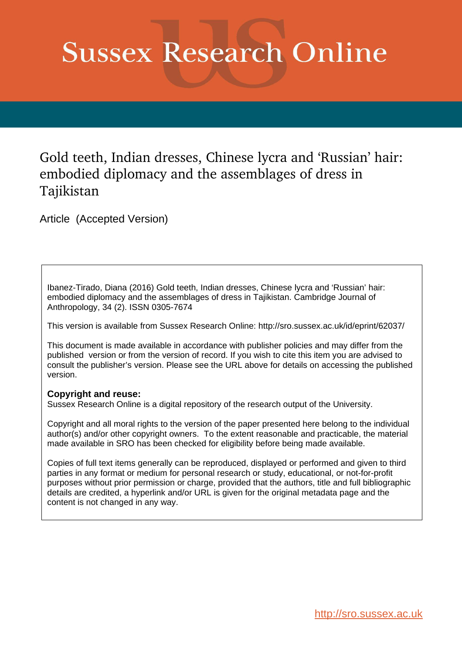# **Sussex Research Online**

# Gold teeth, Indian dresses, Chinese lycra and 'Russian' hair: embodied diplomacy and the assemblages of dress in Tajikistan

Article (Accepted Version)

Ibanez-Tirado, Diana (2016) Gold teeth, Indian dresses, Chinese lycra and 'Russian' hair: embodied diplomacy and the assemblages of dress in Tajikistan. Cambridge Journal of Anthropology, 34 (2). ISSN 0305-7674

This version is available from Sussex Research Online: http://sro.sussex.ac.uk/id/eprint/62037/

This document is made available in accordance with publisher policies and may differ from the published version or from the version of record. If you wish to cite this item you are advised to consult the publisher's version. Please see the URL above for details on accessing the published version.

# **Copyright and reuse:**

Sussex Research Online is a digital repository of the research output of the University.

Copyright and all moral rights to the version of the paper presented here belong to the individual author(s) and/or other copyright owners. To the extent reasonable and practicable, the material made available in SRO has been checked for eligibility before being made available.

Copies of full text items generally can be reproduced, displayed or performed and given to third parties in any format or medium for personal research or study, educational, or not-for-profit purposes without prior permission or charge, provided that the authors, title and full bibliographic details are credited, a hyperlink and/or URL is given for the original metadata page and the content is not changed in any way.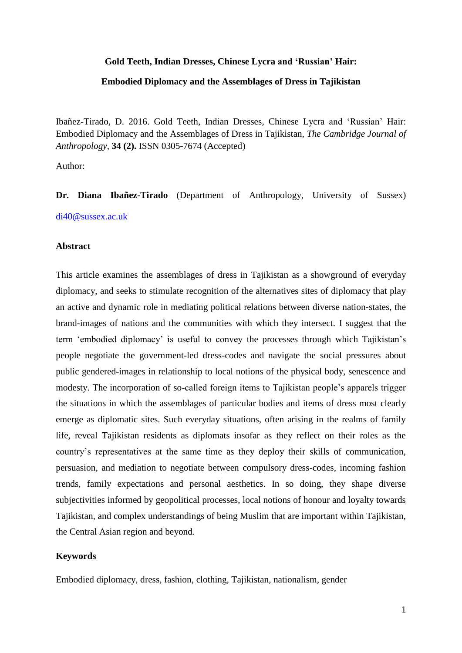# **Gold Teeth, Indian Dresses, Chinese Lycra and 'Russian' Hair:**

# **Embodied Diplomacy and the Assemblages of Dress in Tajikistan**

Ibañez-Tirado, D. 2016. Gold Teeth, Indian Dresses, Chinese Lycra and 'Russian' Hair: Embodied Diplomacy and the Assemblages of Dress in Tajikistan, *The Cambridge Journal of Anthropology*, **34 (2).** ISSN 0305-7674 (Accepted)

Author:

**Dr. Diana Ibañez-Tirado** (Department of Anthropology, University of Sussex) di40@sussex.ac.uk

#### **Abstract**

This article examines the assemblages of dress in Tajikistan as a showground of everyday diplomacy, and seeks to stimulate recognition of the alternatives sites of diplomacy that play an active and dynamic role in mediating political relations between diverse nation-states, the brand-images of nations and the communities with which they intersect. I suggest that the term 'embodied diplomacy' is useful to convey the processes through which Tajikistan's people negotiate the government-led dress-codes and navigate the social pressures about public gendered-images in relationship to local notions of the physical body, senescence and modesty. The incorporation of so-called foreign items to Tajikistan people's apparels trigger the situations in which the assemblages of particular bodies and items of dress most clearly emerge as diplomatic sites. Such everyday situations, often arising in the realms of family life, reveal Tajikistan residents as diplomats insofar as they reflect on their roles as the country's representatives at the same time as they deploy their skills of communication, persuasion, and mediation to negotiate between compulsory dress-codes, incoming fashion trends, family expectations and personal aesthetics. In so doing, they shape diverse subjectivities informed by geopolitical processes, local notions of honour and loyalty towards Tajikistan, and complex understandings of being Muslim that are important within Tajikistan, the Central Asian region and beyond.

# **Keywords**

Embodied diplomacy, dress, fashion, clothing, Tajikistan, nationalism, gender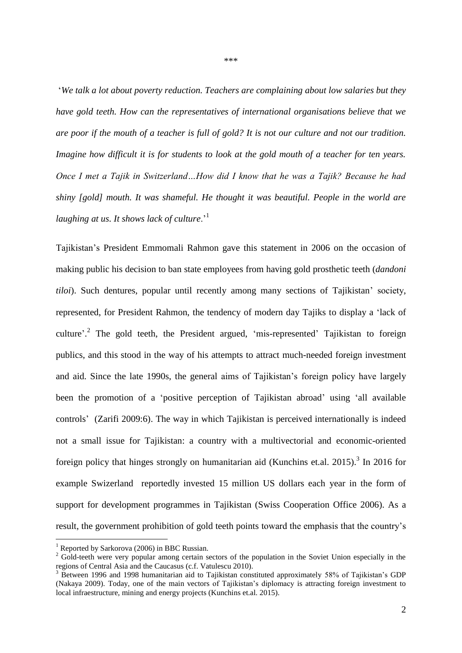'*We talk a lot about poverty reduction. Teachers are complaining about low salaries but they have gold teeth. How can the representatives of international organisations believe that we are poor if the mouth of a teacher is full of gold? It is not our culture and not our tradition. Imagine how difficult it is for students to look at the gold mouth of a teacher for ten years. Once I met a Tajik in Switzerland…How did I know that he was a Tajik? Because he had shiny [gold] mouth. It was shameful. He thought it was beautiful. People in the world are laughing at us. It shows lack of culture*.'<sup>1</sup>

Tajikistan's President Emmomali Rahmon gave this statement in 2006 on the occasion of making public his decision to ban state employees from having gold prosthetic teeth (*dandoni tiloi*). Such dentures, popular until recently among many sections of Tajikistan' society, represented, for President Rahmon, the tendency of modern day Tajiks to display a 'lack of culture<sup>2</sup>.<sup>2</sup> The gold teeth, the President argued, 'mis-represented' Tajikistan to foreign publics, and this stood in the way of his attempts to attract much-needed foreign investment and aid. Since the late 1990s, the general aims of Tajikistan's foreign policy have largely been the promotion of a 'positive perception of Tajikistan abroad' using 'all available controls' (Zarifi 2009:6). The way in which Tajikistan is perceived internationally is indeed not a small issue for Tajikistan: a country with a multivectorial and economic-oriented foreign policy that hinges strongly on humanitarian aid (Kunchins et.al. 2015).<sup>3</sup> In 2016 for example Swizerland reportedly invested 15 million US dollars each year in the form of support for development programmes in Tajikistan (Swiss Cooperation Office 2006). As a result, the government prohibition of gold teeth points toward the emphasis that the country's

1

 $1$  Reported by Sarkorova (2006) in BBC Russian.

<sup>&</sup>lt;sup>2</sup> Gold-teeth were very popular among certain sectors of the population in the Soviet Union especially in the regions of Central Asia and the Caucasus (c.f. Vatulescu 2010).<br><sup>3</sup> Between 1006 and 1000 in 1000 in

<sup>3</sup> Between 1996 and 1998 humanitarian aid to Tajikistan constituted approximately 58% of Tajikistan's GDP (Nakaya 2009). Today, one of the main vectors of Tajikistan's diplomacy is attracting foreign investment to local infraestructure, mining and energy projects (Kunchins et.al. 2015).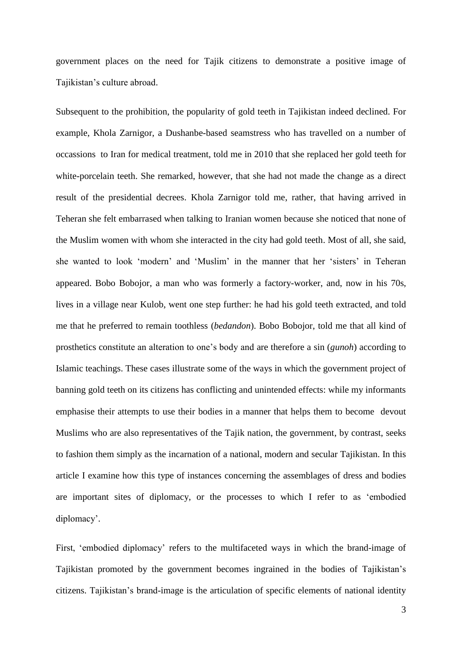government places on the need for Tajik citizens to demonstrate a positive image of Tajikistan's culture abroad.

Subsequent to the prohibition, the popularity of gold teeth in Tajikistan indeed declined. For example, Khola Zarnigor, a Dushanbe-based seamstress who has travelled on a number of occassions to Iran for medical treatment, told me in 2010 that she replaced her gold teeth for white-porcelain teeth. She remarked, however, that she had not made the change as a direct result of the presidential decrees. Khola Zarnigor told me, rather, that having arrived in Teheran she felt embarrased when talking to Iranian women because she noticed that none of the Muslim women with whom she interacted in the city had gold teeth. Most of all, she said, she wanted to look 'modern' and 'Muslim' in the manner that her 'sisters' in Teheran appeared. Bobo Bobojor, a man who was formerly a factory-worker, and, now in his 70s, lives in a village near Kulob, went one step further: he had his gold teeth extracted, and told me that he preferred to remain toothless (*bedandon*). Bobo Bobojor, told me that all kind of prosthetics constitute an alteration to one's body and are therefore a sin (*gunoh*) according to Islamic teachings. These cases illustrate some of the ways in which the government project of banning gold teeth on its citizens has conflicting and unintended effects: while my informants emphasise their attempts to use their bodies in a manner that helps them to become devout Muslims who are also representatives of the Tajik nation, the government, by contrast, seeks to fashion them simply as the incarnation of a national, modern and secular Tajikistan. In this article I examine how this type of instances concerning the assemblages of dress and bodies are important sites of diplomacy, or the processes to which I refer to as 'embodied diplomacy'.

First, 'embodied diplomacy' refers to the multifaceted ways in which the brand-image of Tajikistan promoted by the government becomes ingrained in the bodies of Tajikistan's citizens. Tajikistan's brand-image is the articulation of specific elements of national identity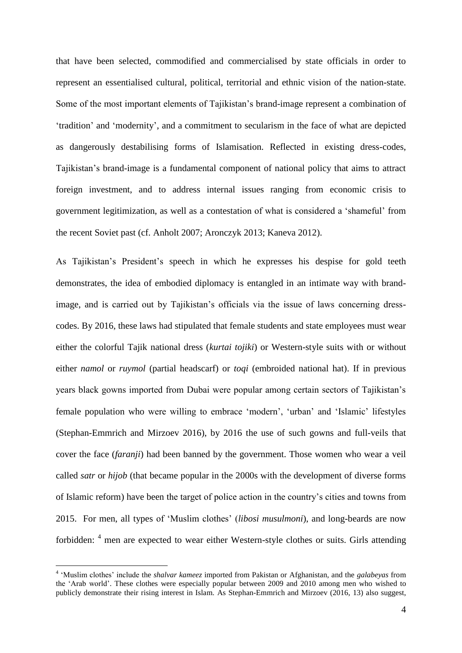that have been selected, commodified and commercialised by state officials in order to represent an essentialised cultural, political, territorial and ethnic vision of the nation-state. Some of the most important elements of Tajikistan's brand-image represent a combination of 'tradition' and 'modernity', and a commitment to secularism in the face of what are depicted as dangerously destabilising forms of Islamisation. Reflected in existing dress-codes, Tajikistan's brand-image is a fundamental component of national policy that aims to attract foreign investment, and to address internal issues ranging from economic crisis to government legitimization, as well as a contestation of what is considered a 'shameful' from the recent Soviet past (cf. Anholt 2007; Aronczyk 2013; Kaneva 2012).

As Tajikistan's President's speech in which he expresses his despise for gold teeth demonstrates, the idea of embodied diplomacy is entangled in an intimate way with brandimage, and is carried out by Tajikistan's officials via the issue of laws concerning dresscodes. By 2016, these laws had stipulated that female students and state employees must wear either the colorful Tajik national dress (*kurtai tojiki*) or Western-style suits with or without either *namol* or *ruymol* (partial headscarf) or *toqi* (embroided national hat). If in previous years black gowns imported from Dubai were popular among certain sectors of Tajikistan's female population who were willing to embrace 'modern', 'urban' and 'Islamic' lifestyles (Stephan-Emmrich and Mirzoev 2016), by 2016 the use of such gowns and full-veils that cover the face (*faranji*) had been banned by the government. Those women who wear a veil called *satr* or *hijob* (that became popular in the 2000s with the development of diverse forms of Islamic reform) have been the target of police action in the country's cities and towns from 2015. For men, all types of 'Muslim clothes' (*libosi musulmoni*), and long-beards are now forbidden: <sup>4</sup> men are expected to wear either Western-style clothes or suits. Girls attending

<u>.</u>

<sup>4</sup> 'Muslim clothes' include the *shalvar kameez* imported from Pakistan or Afghanistan, and the *galabeyas* from the 'Arab world'. These clothes were especially popular between 2009 and 2010 among men who wished to publicly demonstrate their rising interest in Islam. As Stephan-Emmrich and Mirzoev (2016, 13) also suggest,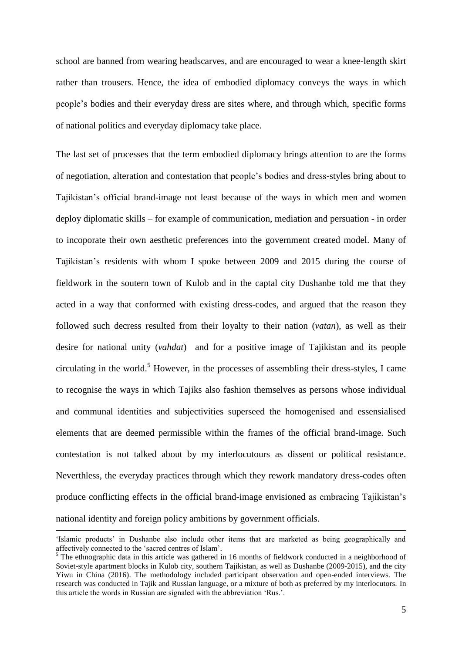school are banned from wearing headscarves, and are encouraged to wear a knee-length skirt rather than trousers. Hence, the idea of embodied diplomacy conveys the ways in which people's bodies and their everyday dress are sites where, and through which, specific forms of national politics and everyday diplomacy take place.

The last set of processes that the term embodied diplomacy brings attention to are the forms of negotiation, alteration and contestation that people's bodies and dress-styles bring about to Tajikistan's official brand-image not least because of the ways in which men and women deploy diplomatic skills – for example of communication, mediation and persuation - in order to incoporate their own aesthetic preferences into the government created model. Many of Tajikistan's residents with whom I spoke between 2009 and 2015 during the course of fieldwork in the soutern town of Kulob and in the captal city Dushanbe told me that they acted in a way that conformed with existing dress-codes, and argued that the reason they followed such decress resulted from their loyalty to their nation (*vatan*), as well as their desire for national unity (*vahdat*) and for a positive image of Tajikistan and its people circulating in the world.<sup>5</sup> However, in the processes of assembling their dress-styles, I came to recognise the ways in which Tajiks also fashion themselves as persons whose individual and communal identities and subjectivities superseed the homogenised and essensialised elements that are deemed permissible within the frames of the official brand-image. Such contestation is not talked about by my interlocutours as dissent or political resistance. Neverthless, the everyday practices through which they rework mandatory dress-codes often produce conflicting effects in the official brand-image envisioned as embracing Tajikistan's national identity and foreign policy ambitions by government officials.

1

<sup>&#</sup>x27;Islamic products' in Dushanbe also include other items that are marketed as being geographically and affectively connected to the 'sacred centres of Islam'.

<sup>&</sup>lt;sup>5</sup> The ethnographic data in this article was gathered in 16 months of fieldwork conducted in a neighborhood of Soviet-style apartment blocks in Kulob city, southern Tajikistan, as well as Dushanbe (2009-2015), and the city Yiwu in China (2016). The methodology included participant observation and open-ended interviews. The research was conducted in Tajik and Russian language, or a mixture of both as preferred by my interlocutors. In this article the words in Russian are signaled with the abbreviation 'Rus.'.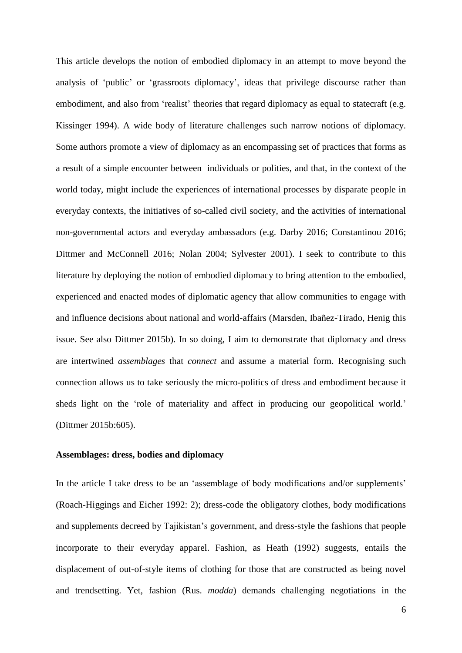This article develops the notion of embodied diplomacy in an attempt to move beyond the analysis of 'public' or 'grassroots diplomacy', ideas that privilege discourse rather than embodiment, and also from 'realist' theories that regard diplomacy as equal to statecraft (e.g. Kissinger 1994). A wide body of literature challenges such narrow notions of diplomacy. Some authors promote a view of diplomacy as an encompassing set of practices that forms as a result of a simple encounter between individuals or polities, and that, in the context of the world today, might include the experiences of international processes by disparate people in everyday contexts, the initiatives of so-called civil society, and the activities of international non-governmental actors and everyday ambassadors (e.g. Darby 2016; Constantinou 2016; Dittmer and McConnell 2016; Nolan 2004; Sylvester 2001). I seek to contribute to this literature by deploying the notion of embodied diplomacy to bring attention to the embodied, experienced and enacted modes of diplomatic agency that allow communities to engage with and influence decisions about national and world-affairs (Marsden, Ibañez-Tirado, Henig this issue. See also Dittmer 2015b). In so doing, I aim to demonstrate that diplomacy and dress are intertwined *assemblages* that *connect* and assume a material form. Recognising such connection allows us to take seriously the micro-politics of dress and embodiment because it sheds light on the 'role of materiality and affect in producing our geopolitical world.' (Dittmer 2015b:605).

#### **Assemblages: dress, bodies and diplomacy**

In the article I take dress to be an 'assemblage of body modifications and/or supplements' (Roach-Higgings and Eicher 1992: 2); dress-code the obligatory clothes, body modifications and supplements decreed by Tajikistan's government, and dress-style the fashions that people incorporate to their everyday apparel. Fashion, as Heath (1992) suggests, entails the displacement of out-of-style items of clothing for those that are constructed as being novel and trendsetting. Yet, fashion (Rus. *modda*) demands challenging negotiations in the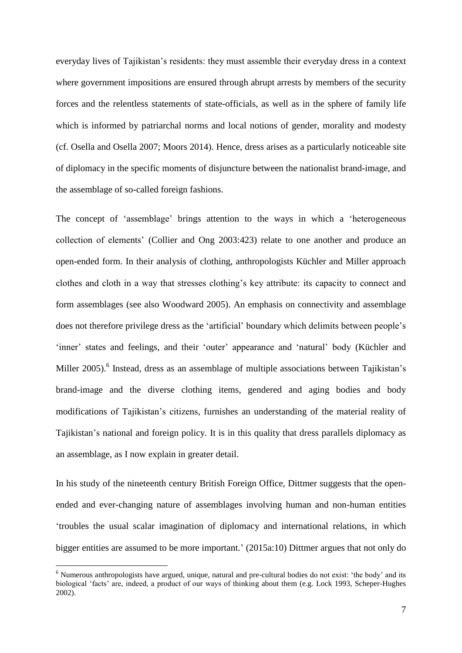everyday lives of Tajikistan's residents: they must assemble their everyday dress in a context where government impositions are ensured through abrupt arrests by members of the security forces and the relentless statements of state-officials, as well as in the sphere of family life which is informed by patriarchal norms and local notions of gender, morality and modesty (cf. Osella and Osella 2007; Moors 2014). Hence, dress arises as a particularly noticeable site of diplomacy in the specific moments of disjuncture between the nationalist brand-image, and the assemblage of so-called foreign fashions.

The concept of 'assemblage' brings attention to the ways in which a 'heterogeneous collection of elements' (Collier and Ong 2003:423) relate to one another and produce an open-ended form. In their analysis of clothing, anthropologists Küchler and Miller approach clothes and cloth in a way that stresses clothing's key attribute: its capacity to connect and form assemblages (see also Woodward 2005). An emphasis on connectivity and assemblage does not therefore privilege dress as the 'artificial' boundary which delimits between people's 'inner' states and feelings, and their 'outer' appearance and 'natural' body (Küchler and Miller 2005).<sup>6</sup> Instead, dress as an assemblage of multiple associations between Tajikistan's brand-image and the diverse clothing items, gendered and aging bodies and body modifications of Tajikistan's citizens, furnishes an understanding of the material reality of Tajikistan's national and foreign policy. It is in this quality that dress parallels diplomacy as an assemblage, as I now explain in greater detail.

In his study of the nineteenth century British Foreign Office, Dittmer suggests that the openended and ever-changing nature of assemblages involving human and non-human entities 'troubles the usual scalar imagination of diplomacy and international relations, in which bigger entities are assumed to be more important.' (2015a:10) Dittmer argues that not only do

<u>.</u>

<sup>&</sup>lt;sup>6</sup> Numerous anthropologists have argued, unique, natural and pre-cultural bodies do not exist: 'the body' and its biological 'facts' are, indeed, a product of our ways of thinking about them (e.g. Lock 1993, Scheper-Hughes 2002).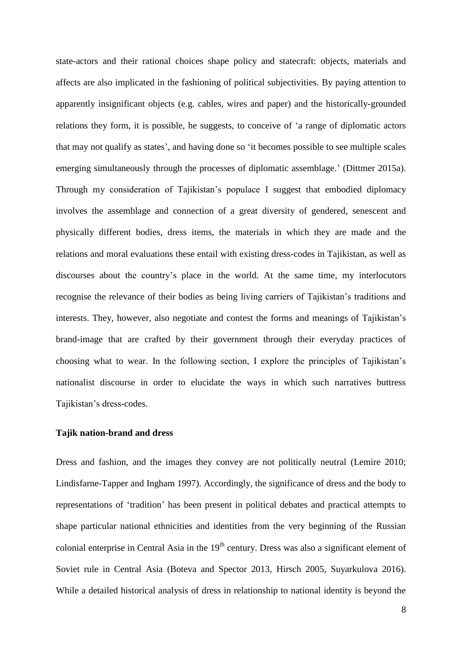state-actors and their rational choices shape policy and statecraft: objects, materials and affects are also implicated in the fashioning of political subjectivities. By paying attention to apparently insignificant objects (e.g. cables, wires and paper) and the historically-grounded relations they form, it is possible, he suggests, to conceive of 'a range of diplomatic actors that may not qualify as states', and having done so 'it becomes possible to see multiple scales emerging simultaneously through the processes of diplomatic assemblage.' (Dittmer 2015a). Through my consideration of Tajikistan's populace I suggest that embodied diplomacy involves the assemblage and connection of a great diversity of gendered, senescent and physically different bodies, dress items, the materials in which they are made and the relations and moral evaluations these entail with existing dress-codes in Tajikistan, as well as discourses about the country's place in the world. At the same time, my interlocutors recognise the relevance of their bodies as being living carriers of Tajikistan's traditions and interests. They, however, also negotiate and contest the forms and meanings of Tajikistan's brand-image that are crafted by their government through their everyday practices of choosing what to wear. In the following section, I explore the principles of Tajikistan's nationalist discourse in order to elucidate the ways in which such narratives buttress Tajikistan's dress-codes.

# **Tajik nation-brand and dress**

Dress and fashion, and the images they convey are not politically neutral (Lemire 2010; Lindisfarne-Tapper and Ingham 1997). Accordingly, the significance of dress and the body to representations of 'tradition' has been present in political debates and practical attempts to shape particular national ethnicities and identities from the very beginning of the Russian colonial enterprise in Central Asia in the  $19<sup>th</sup>$  century. Dress was also a significant element of Soviet rule in Central Asia (Boteva and Spector 2013, Hirsch 2005, Suyarkulova 2016). While a detailed historical analysis of dress in relationship to national identity is beyond the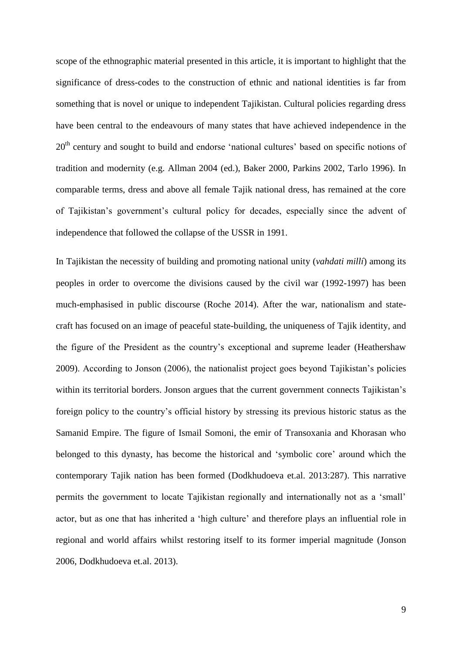scope of the ethnographic material presented in this article, it is important to highlight that the significance of dress-codes to the construction of ethnic and national identities is far from something that is novel or unique to independent Tajikistan. Cultural policies regarding dress have been central to the endeavours of many states that have achieved independence in the 20<sup>th</sup> century and sought to build and endorse 'national cultures' based on specific notions of tradition and modernity (e.g. Allman 2004 (ed.), Baker 2000, Parkins 2002, Tarlo 1996). In comparable terms, dress and above all female Tajik national dress, has remained at the core of Tajikistan's government's cultural policy for decades, especially since the advent of independence that followed the collapse of the USSR in 1991.

In Tajikistan the necessity of building and promoting national unity (*vahdati millí*) among its peoples in order to overcome the divisions caused by the civil war (1992-1997) has been much-emphasised in public discourse (Roche 2014). After the war, nationalism and statecraft has focused on an image of peaceful state-building, the uniqueness of Tajik identity, and the figure of the President as the country's exceptional and supreme leader (Heathershaw 2009). According to Jonson (2006), the nationalist project goes beyond Tajikistan's policies within its territorial borders. Jonson argues that the current government connects Tajikistan's foreign policy to the country's official history by stressing its previous historic status as the Samanid Empire. The figure of Ismail Somoni, the emir of Transoxania and Khorasan who belonged to this dynasty, has become the historical and 'symbolic core' around which the contemporary Tajik nation has been formed (Dodkhudoeva et.al. 2013:287). This narrative permits the government to locate Tajikistan regionally and internationally not as a 'small' actor, but as one that has inherited a 'high culture' and therefore plays an influential role in regional and world affairs whilst restoring itself to its former imperial magnitude (Jonson 2006, Dodkhudoeva et.al. 2013).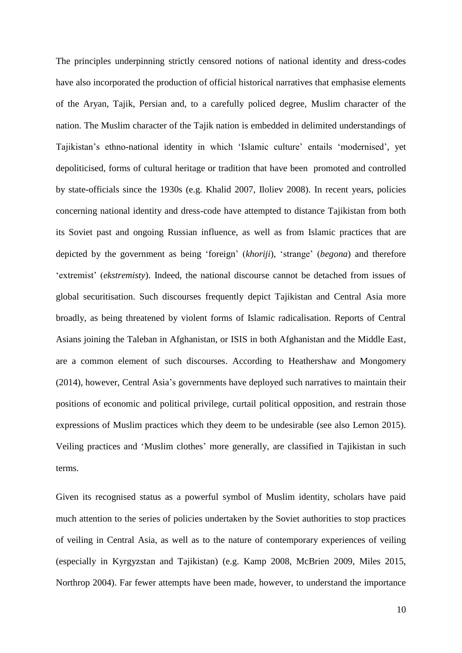The principles underpinning strictly censored notions of national identity and dress-codes have also incorporated the production of official historical narratives that emphasise elements of the Aryan, Tajik, Persian and, to a carefully policed degree, Muslim character of the nation. The Muslim character of the Tajik nation is embedded in delimited understandings of Tajikistan's ethno-national identity in which 'Islamic culture' entails 'modernised', yet depoliticised, forms of cultural heritage or tradition that have been promoted and controlled by state-officials since the 1930s (e.g. Khalid 2007, Iloliev 2008). In recent years, policies concerning national identity and dress-code have attempted to distance Tajikistan from both its Soviet past and ongoing Russian influence, as well as from Islamic practices that are depicted by the government as being 'foreign' (*khoriji*), 'strange' (*begona*) and therefore 'extremist' (*ekstremisty*). Indeed, the national discourse cannot be detached from issues of global securitisation. Such discourses frequently depict Tajikistan and Central Asia more broadly, as being threatened by violent forms of Islamic radicalisation. Reports of Central Asians joining the Taleban in Afghanistan, or ISIS in both Afghanistan and the Middle East, are a common element of such discourses. According to Heathershaw and Mongomery (2014), however, Central Asia's governments have deployed such narratives to maintain their positions of economic and political privilege, curtail political opposition, and restrain those expressions of Muslim practices which they deem to be undesirable (see also Lemon 2015). Veiling practices and 'Muslim clothes' more generally, are classified in Tajikistan in such terms.

Given its recognised status as a powerful symbol of Muslim identity, scholars have paid much attention to the series of policies undertaken by the Soviet authorities to stop practices of veiling in Central Asia, as well as to the nature of contemporary experiences of veiling (especially in Kyrgyzstan and Tajikistan) (e.g. Kamp 2008, McBrien 2009, Miles 2015, Northrop 2004). Far fewer attempts have been made, however, to understand the importance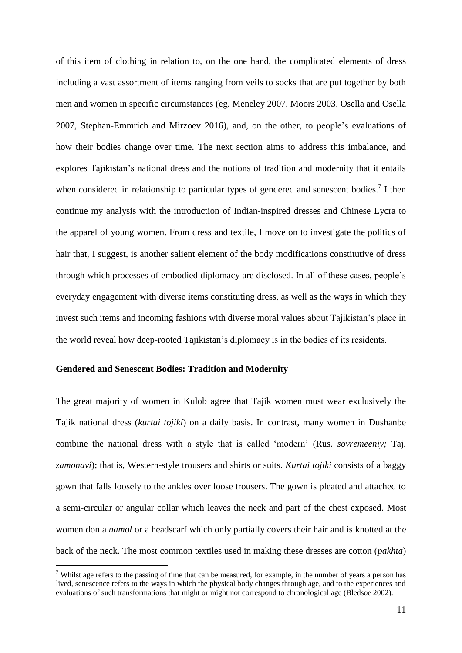of this item of clothing in relation to, on the one hand, the complicated elements of dress including a vast assortment of items ranging from veils to socks that are put together by both men and women in specific circumstances (eg. Meneley 2007, Moors 2003, Osella and Osella 2007, Stephan-Emmrich and Mirzoev 2016), and, on the other, to people's evaluations of how their bodies change over time. The next section aims to address this imbalance, and explores Tajikistan's national dress and the notions of tradition and modernity that it entails when considered in relationship to particular types of gendered and senescent bodies.<sup>7</sup> I then continue my analysis with the introduction of Indian-inspired dresses and Chinese Lycra to the apparel of young women. From dress and textile, I move on to investigate the politics of hair that, I suggest, is another salient element of the body modifications constitutive of dress through which processes of embodied diplomacy are disclosed. In all of these cases, people's everyday engagement with diverse items constituting dress, as well as the ways in which they invest such items and incoming fashions with diverse moral values about Tajikistan's place in the world reveal how deep-rooted Tajikistan's diplomacy is in the bodies of its residents.

# **Gendered and Senescent Bodies: Tradition and Modernity**

<u>.</u>

The great majority of women in Kulob agree that Tajik women must wear exclusively the Tajik national dress (*kurtai tojikí*) on a daily basis. In contrast, many women in Dushanbe combine the national dress with a style that is called 'modern' (Rus. *sovremeeniy;* Taj. *zamonavi*); that is, Western-style trousers and shirts or suits. *Kurtai tojiki* consists of a baggy gown that falls loosely to the ankles over loose trousers. The gown is pleated and attached to a semi-circular or angular collar which leaves the neck and part of the chest exposed. Most women don a *namol* or a headscarf which only partially covers their hair and is knotted at the back of the neck. The most common textiles used in making these dresses are cotton (*pakhta*)

<sup>&</sup>lt;sup>7</sup> Whilst age refers to the passing of time that can be measured, for example, in the number of years a person has lived, senescence refers to the ways in which the physical body changes through age, and to the experiences and evaluations of such transformations that might or might not correspond to chronological age (Bledsoe 2002).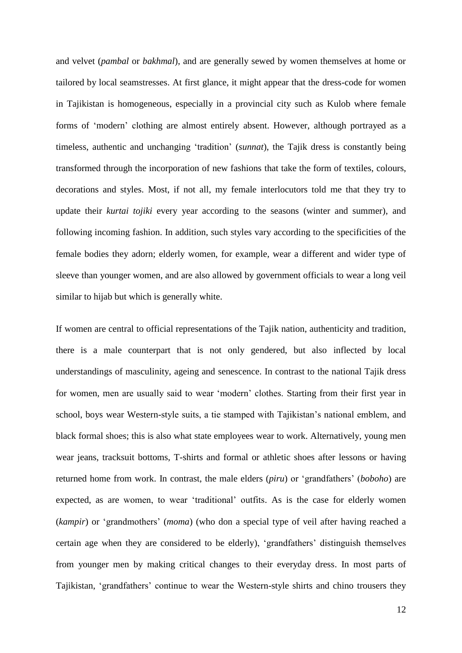and velvet (*pambal* or *bakhmal*), and are generally sewed by women themselves at home or tailored by local seamstresses. At first glance, it might appear that the dress-code for women in Tajikistan is homogeneous, especially in a provincial city such as Kulob where female forms of 'modern' clothing are almost entirely absent. However, although portrayed as a timeless, authentic and unchanging 'tradition' (*sunnat*), the Tajik dress is constantly being transformed through the incorporation of new fashions that take the form of textiles, colours, decorations and styles. Most, if not all, my female interlocutors told me that they try to update their *kurtai tojiki* every year according to the seasons (winter and summer), and following incoming fashion. In addition, such styles vary according to the specificities of the female bodies they adorn; elderly women, for example, wear a different and wider type of sleeve than younger women, and are also allowed by government officials to wear a long veil similar to hijab but which is generally white.

If women are central to official representations of the Tajik nation, authenticity and tradition, there is a male counterpart that is not only gendered, but also inflected by local understandings of masculinity, ageing and senescence. In contrast to the national Tajik dress for women, men are usually said to wear 'modern' clothes. Starting from their first year in school, boys wear Western-style suits, a tie stamped with Tajikistan's national emblem, and black formal shoes; this is also what state employees wear to work. Alternatively, young men wear jeans, tracksuit bottoms, T-shirts and formal or athletic shoes after lessons or having returned home from work. In contrast, the male elders (*piru*) or 'grandfathers' (*boboho*) are expected, as are women, to wear 'traditional' outfits. As is the case for elderly women (*kampir*) or 'grandmothers' (*moma*) (who don a special type of veil after having reached a certain age when they are considered to be elderly), 'grandfathers' distinguish themselves from younger men by making critical changes to their everyday dress. In most parts of Tajikistan, 'grandfathers' continue to wear the Western-style shirts and chino trousers they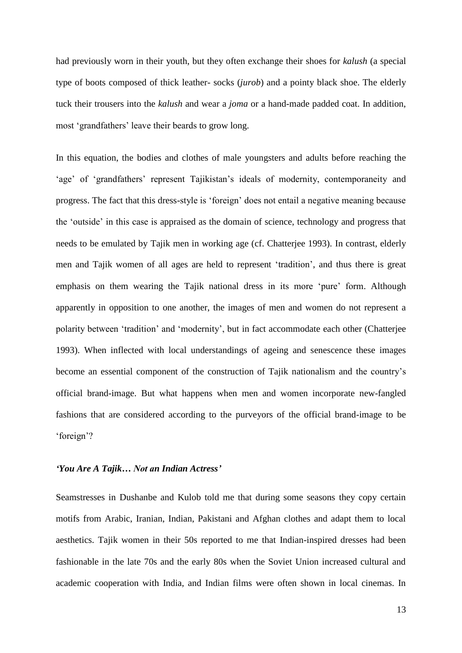had previously worn in their youth, but they often exchange their shoes for *kalush* (a special type of boots composed of thick leather- socks (*jurob*) and a pointy black shoe. The elderly tuck their trousers into the *kalush* and wear a *joma* or a hand-made padded coat. In addition, most 'grandfathers' leave their beards to grow long.

In this equation, the bodies and clothes of male youngsters and adults before reaching the 'age' of 'grandfathers' represent Tajikistan's ideals of modernity, contemporaneity and progress. The fact that this dress-style is 'foreign' does not entail a negative meaning because the 'outside' in this case is appraised as the domain of science, technology and progress that needs to be emulated by Tajik men in working age (cf. Chatterjee 1993). In contrast, elderly men and Tajik women of all ages are held to represent 'tradition', and thus there is great emphasis on them wearing the Tajik national dress in its more 'pure' form. Although apparently in opposition to one another, the images of men and women do not represent a polarity between 'tradition' and 'modernity', but in fact accommodate each other (Chatterjee 1993). When inflected with local understandings of ageing and senescence these images become an essential component of the construction of Tajik nationalism and the country's official brand-image. But what happens when men and women incorporate new-fangled fashions that are considered according to the purveyors of the official brand-image to be 'foreign'?

# *'You Are A Tajik… Not an Indian Actress'*

Seamstresses in Dushanbe and Kulob told me that during some seasons they copy certain motifs from Arabic, Iranian, Indian, Pakistani and Afghan clothes and adapt them to local aesthetics. Tajik women in their 50s reported to me that Indian-inspired dresses had been fashionable in the late 70s and the early 80s when the Soviet Union increased cultural and academic cooperation with India, and Indian films were often shown in local cinemas. In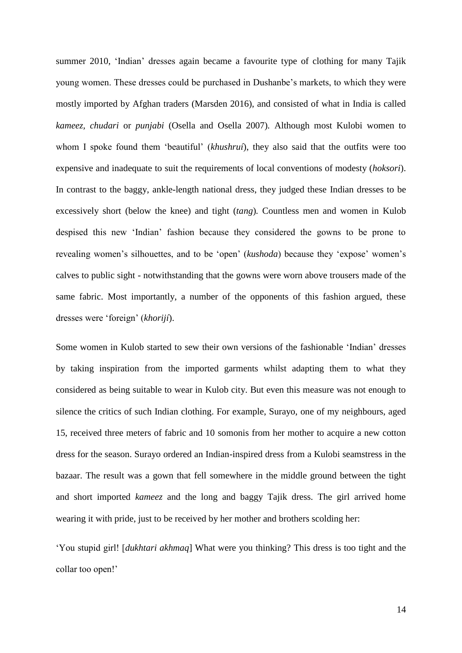summer 2010, 'Indian' dresses again became a favourite type of clothing for many Tajik young women. These dresses could be purchased in Dushanbe's markets, to which they were mostly imported by Afghan traders (Marsden 2016), and consisted of what in India is called *kameez, chudari* or *punjabi* (Osella and Osella 2007)*.* Although most Kulobi women to whom I spoke found them 'beautiful' (*khushruí*), they also said that the outfits were too expensive and inadequate to suit the requirements of local conventions of modesty (*hoksori*). In contrast to the baggy, ankle-length national dress, they judged these Indian dresses to be excessively short (below the knee) and tight (*tang*)*.* Countless men and women in Kulob despised this new 'Indian' fashion because they considered the gowns to be prone to revealing women's silhouettes, and to be 'open' (*kushoda*) because they 'expose' women's calves to public sight - notwithstanding that the gowns were worn above trousers made of the same fabric. Most importantly, a number of the opponents of this fashion argued, these dresses were 'foreign' (*khorijí*).

Some women in Kulob started to sew their own versions of the fashionable 'Indian' dresses by taking inspiration from the imported garments whilst adapting them to what they considered as being suitable to wear in Kulob city. But even this measure was not enough to silence the critics of such Indian clothing. For example, Surayo, one of my neighbours, aged 15, received three meters of fabric and 10 somonis from her mother to acquire a new cotton dress for the season. Surayo ordered an Indian-inspired dress from a Kulobi seamstress in the bazaar. The result was a gown that fell somewhere in the middle ground between the tight and short imported *kameez* and the long and baggy Tajik dress. The girl arrived home wearing it with pride, just to be received by her mother and brothers scolding her:

'You stupid girl! [*dukhtari akhmaq*] What were you thinking? This dress is too tight and the collar too open!'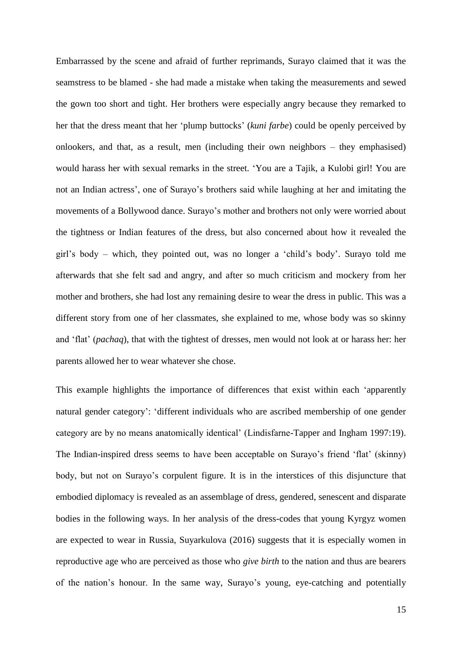Embarrassed by the scene and afraid of further reprimands, Surayo claimed that it was the seamstress to be blamed - she had made a mistake when taking the measurements and sewed the gown too short and tight. Her brothers were especially angry because they remarked to her that the dress meant that her 'plump buttocks' (*kuni farbe*) could be openly perceived by onlookers, and that, as a result, men (including their own neighbors – they emphasised) would harass her with sexual remarks in the street. 'You are a Tajik, a Kulobi girl! You are not an Indian actress', one of Surayo's brothers said while laughing at her and imitating the movements of a Bollywood dance. Surayo's mother and brothers not only were worried about the tightness or Indian features of the dress, but also concerned about how it revealed the girl's body – which, they pointed out, was no longer a 'child's body'. Surayo told me afterwards that she felt sad and angry, and after so much criticism and mockery from her mother and brothers, she had lost any remaining desire to wear the dress in public. This was a different story from one of her classmates, she explained to me, whose body was so skinny and 'flat' (*pachaq*), that with the tightest of dresses, men would not look at or harass her: her parents allowed her to wear whatever she chose.

This example highlights the importance of differences that exist within each 'apparently natural gender category': 'different individuals who are ascribed membership of one gender category are by no means anatomically identical' (Lindisfarne-Tapper and Ingham 1997:19). The Indian-inspired dress seems to have been acceptable on Surayo's friend 'flat' (skinny) body, but not on Surayo's corpulent figure. It is in the interstices of this disjuncture that embodied diplomacy is revealed as an assemblage of dress, gendered, senescent and disparate bodies in the following ways. In her analysis of the dress-codes that young Kyrgyz women are expected to wear in Russia, Suyarkulova (2016) suggests that it is especially women in reproductive age who are perceived as those who *give birth* to the nation and thus are bearers of the nation's honour. In the same way, Surayo's young, eye-catching and potentially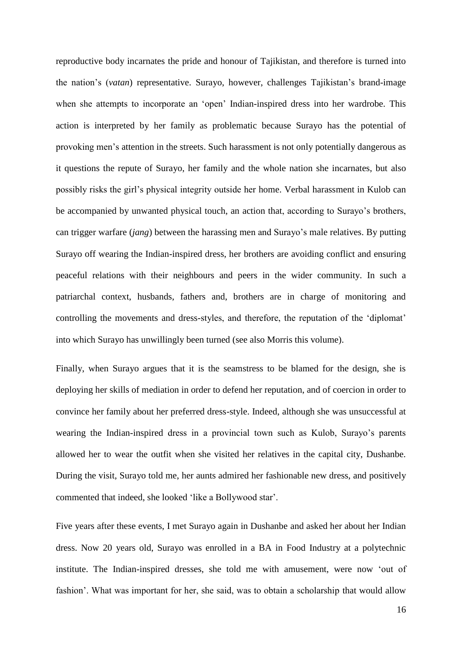reproductive body incarnates the pride and honour of Tajikistan, and therefore is turned into the nation's (*vatan*) representative. Surayo, however, challenges Tajikistan's brand-image when she attempts to incorporate an 'open' Indian-inspired dress into her wardrobe. This action is interpreted by her family as problematic because Surayo has the potential of provoking men's attention in the streets. Such harassment is not only potentially dangerous as it questions the repute of Surayo, her family and the whole nation she incarnates, but also possibly risks the girl's physical integrity outside her home. Verbal harassment in Kulob can be accompanied by unwanted physical touch, an action that, according to Surayo's brothers, can trigger warfare (*jang*) between the harassing men and Surayo's male relatives. By putting Surayo off wearing the Indian-inspired dress, her brothers are avoiding conflict and ensuring peaceful relations with their neighbours and peers in the wider community. In such a patriarchal context, husbands, fathers and, brothers are in charge of monitoring and controlling the movements and dress-styles, and therefore, the reputation of the 'diplomat' into which Surayo has unwillingly been turned (see also Morris this volume).

Finally, when Surayo argues that it is the seamstress to be blamed for the design, she is deploying her skills of mediation in order to defend her reputation, and of coercion in order to convince her family about her preferred dress-style. Indeed, although she was unsuccessful at wearing the Indian-inspired dress in a provincial town such as Kulob, Surayo's parents allowed her to wear the outfit when she visited her relatives in the capital city, Dushanbe. During the visit, Surayo told me, her aunts admired her fashionable new dress, and positively commented that indeed, she looked 'like a Bollywood star'.

Five years after these events, I met Surayo again in Dushanbe and asked her about her Indian dress. Now 20 years old, Surayo was enrolled in a BA in Food Industry at a polytechnic institute. The Indian-inspired dresses, she told me with amusement, were now 'out of fashion'. What was important for her, she said, was to obtain a scholarship that would allow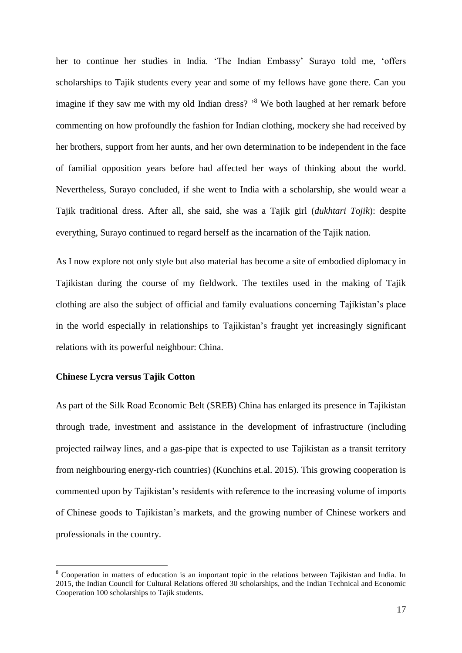her to continue her studies in India. 'The Indian Embassy' Surayo told me, 'offers scholarships to Tajik students every year and some of my fellows have gone there. Can you imagine if they saw me with my old Indian dress? <sup>8</sup> We both laughed at her remark before commenting on how profoundly the fashion for Indian clothing, mockery she had received by her brothers, support from her aunts, and her own determination to be independent in the face of familial opposition years before had affected her ways of thinking about the world. Nevertheless, Surayo concluded, if she went to India with a scholarship, she would wear a Tajik traditional dress. After all, she said, she was a Tajik girl (*dukhtari Tojik*): despite everything, Surayo continued to regard herself as the incarnation of the Tajik nation.

As I now explore not only style but also material has become a site of embodied diplomacy in Tajikistan during the course of my fieldwork. The textiles used in the making of Tajik clothing are also the subject of official and family evaluations concerning Tajikistan's place in the world especially in relationships to Tajikistan's fraught yet increasingly significant relations with its powerful neighbour: China.

# **Chinese Lycra versus Tajik Cotton**

<u>.</u>

As part of the Silk Road Economic Belt (SREB) China has enlarged its presence in Tajikistan through trade, investment and assistance in the development of infrastructure (including projected railway lines, and a gas-pipe that is expected to use Tajikistan as a transit territory from neighbouring energy-rich countries) (Kunchins et.al. 2015). This growing cooperation is commented upon by Tajikistan's residents with reference to the increasing volume of imports of Chinese goods to Tajikistan's markets, and the growing number of Chinese workers and professionals in the country.

<sup>&</sup>lt;sup>8</sup> Cooperation in matters of education is an important topic in the relations between Tajikistan and India. In 2015, the Indian Council for Cultural Relations offered 30 scholarships, and the Indian Technical and Economic Cooperation 100 scholarships to Tajik students.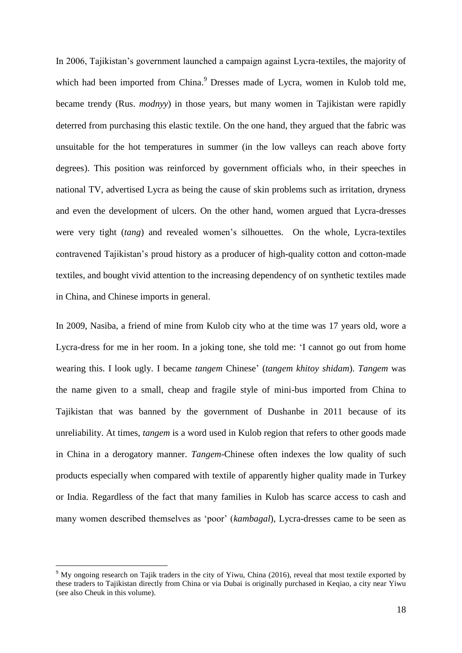In 2006, Tajikistan's government launched a campaign against Lycra-textiles, the majority of which had been imported from China.<sup>9</sup> Dresses made of Lycra, women in Kulob told me, became trendy (Rus. *modnyy*) in those years, but many women in Tajikistan were rapidly deterred from purchasing this elastic textile. On the one hand, they argued that the fabric was unsuitable for the hot temperatures in summer (in the low valleys can reach above forty degrees). This position was reinforced by government officials who, in their speeches in national TV, advertised Lycra as being the cause of skin problems such as irritation, dryness and even the development of ulcers. On the other hand, women argued that Lycra-dresses were very tight *(tang)* and revealed women's silhouettes. On the whole, Lycra-textiles contravened Tajikistan's proud history as a producer of high-quality cotton and cotton-made textiles, and bought vivid attention to the increasing dependency of on synthetic textiles made in China, and Chinese imports in general.

In 2009, Nasiba, a friend of mine from Kulob city who at the time was 17 years old, wore a Lycra-dress for me in her room. In a joking tone, she told me: 'I cannot go out from home wearing this. I look ugly. I became *tangem* Chinese' (*tangem khitoy shidam*). *Tangem* was the name given to a small, cheap and fragile style of mini-bus imported from China to Tajikistan that was banned by the government of Dushanbe in 2011 because of its unreliability. At times, *tangem* is a word used in Kulob region that refers to other goods made in China in a derogatory manner. *Tangem-*Chinese often indexes the low quality of such products especially when compared with textile of apparently higher quality made in Turkey or India. Regardless of the fact that many families in Kulob has scarce access to cash and many women described themselves as 'poor' (*kambagal*), Lycra-dresses came to be seen as

<u>.</u>

<sup>&</sup>lt;sup>9</sup> My ongoing research on Tajik traders in the city of Yiwu, China (2016), reveal that most textile exported by these traders to Tajikistan directly from China or via Dubai is originally purchased in Keqiao, a city near Yiwu (see also Cheuk in this volume).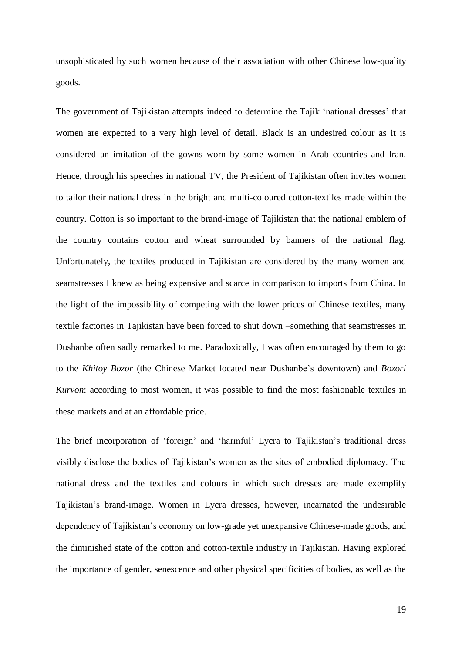unsophisticated by such women because of their association with other Chinese low-quality goods.

The government of Tajikistan attempts indeed to determine the Tajik 'national dresses' that women are expected to a very high level of detail. Black is an undesired colour as it is considered an imitation of the gowns worn by some women in Arab countries and Iran. Hence, through his speeches in national TV, the President of Tajikistan often invites women to tailor their national dress in the bright and multi-coloured cotton-textiles made within the country. Cotton is so important to the brand-image of Tajikistan that the national emblem of the country contains cotton and wheat surrounded by banners of the national flag. Unfortunately, the textiles produced in Tajikistan are considered by the many women and seamstresses I knew as being expensive and scarce in comparison to imports from China. In the light of the impossibility of competing with the lower prices of Chinese textiles, many textile factories in Tajikistan have been forced to shut down –something that seamstresses in Dushanbe often sadly remarked to me. Paradoxically, I was often encouraged by them to go to the *Khitoy Bozor* (the Chinese Market located near Dushanbe's downtown) and *Bozori Kurvon*: according to most women, it was possible to find the most fashionable textiles in these markets and at an affordable price.

The brief incorporation of 'foreign' and 'harmful' Lycra to Tajikistan's traditional dress visibly disclose the bodies of Tajikistan's women as the sites of embodied diplomacy. The national dress and the textiles and colours in which such dresses are made exemplify Tajikistan's brand-image. Women in Lycra dresses, however, incarnated the undesirable dependency of Tajikistan's economy on low-grade yet unexpansive Chinese-made goods, and the diminished state of the cotton and cotton-textile industry in Tajikistan. Having explored the importance of gender, senescence and other physical specificities of bodies, as well as the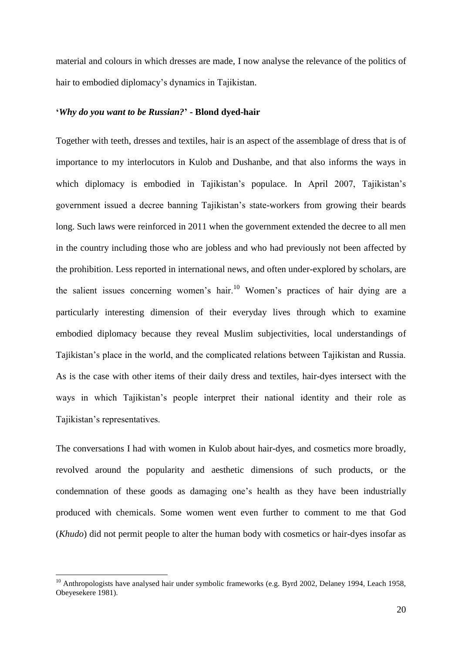material and colours in which dresses are made, I now analyse the relevance of the politics of hair to embodied diplomacy's dynamics in Tajikistan.

### **'***Why do you want to be Russian?***' - Blond dyed-hair**

Together with teeth, dresses and textiles, hair is an aspect of the assemblage of dress that is of importance to my interlocutors in Kulob and Dushanbe, and that also informs the ways in which diplomacy is embodied in Tajikistan's populace. In April 2007, Tajikistan's government issued a decree banning Tajikistan's state-workers from growing their beards long. Such laws were reinforced in 2011 when the government extended the decree to all men in the country including those who are jobless and who had previously not been affected by the prohibition. Less reported in international news, and often under-explored by scholars, are the salient issues concerning women's hair.<sup>10</sup> Women's practices of hair dying are a particularly interesting dimension of their everyday lives through which to examine embodied diplomacy because they reveal Muslim subjectivities, local understandings of Tajikistan's place in the world, and the complicated relations between Tajikistan and Russia. As is the case with other items of their daily dress and textiles, hair-dyes intersect with the ways in which Tajikistan's people interpret their national identity and their role as Tajikistan's representatives.

The conversations I had with women in Kulob about hair-dyes, and cosmetics more broadly, revolved around the popularity and aesthetic dimensions of such products, or the condemnation of these goods as damaging one's health as they have been industrially produced with chemicals. Some women went even further to comment to me that God (*Khudo*) did not permit people to alter the human body with cosmetics or hair-dyes insofar as

1

 $10$  Anthropologists have analysed hair under symbolic frameworks (e.g. Byrd 2002, Delaney 1994, Leach 1958, Obeyesekere 1981).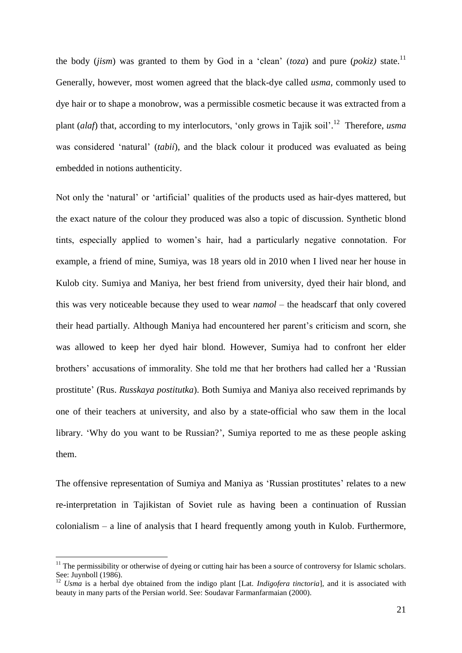the body (*jism*) was granted to them by God in a 'clean' (*toza*) and pure (*pokiz*) state.<sup>11</sup> Generally, however, most women agreed that the black-dye called *usma,* commonly used to dye hair or to shape a monobrow, was a permissible cosmetic because it was extracted from a plant (*alaf*) that, according to my interlocutors, 'only grows in Tajik soil'.<sup>12</sup> Therefore, *usma* was considered 'natural' (*tabií*), and the black colour it produced was evaluated as being embedded in notions authenticity.

Not only the 'natural' or 'artificial' qualities of the products used as hair-dyes mattered, but the exact nature of the colour they produced was also a topic of discussion. Synthetic blond tints, especially applied to women's hair, had a particularly negative connotation. For example, a friend of mine, Sumiya, was 18 years old in 2010 when I lived near her house in Kulob city. Sumiya and Maniya, her best friend from university, dyed their hair blond, and this was very noticeable because they used to wear *namol –* the headscarf that only covered their head partially. Although Maniya had encountered her parent's criticism and scorn, she was allowed to keep her dyed hair blond. However, Sumiya had to confront her elder brothers' accusations of immorality. She told me that her brothers had called her a 'Russian prostitute' (Rus. *Russkaya postitutka*). Both Sumiya and Maniya also received reprimands by one of their teachers at university, and also by a state-official who saw them in the local library. 'Why do you want to be Russian?', Sumiya reported to me as these people asking them.

The offensive representation of Sumiya and Maniya as 'Russian prostitutes' relates to a new re-interpretation in Tajikistan of Soviet rule as having been a continuation of Russian colonialism – a line of analysis that I heard frequently among youth in Kulob. Furthermore,

1

 $11$  The permissibility or otherwise of dyeing or cutting hair has been a source of controversy for Islamic scholars. See: Juynboll (1986).

<sup>&</sup>lt;sup>12</sup> *Usma* is a herbal dve obtained from the indigo plant [Lat. *Indigofera tinctoria*], and it is associated with beauty in many parts of the Persian world. See: Soudavar Farmanfarmaian (2000).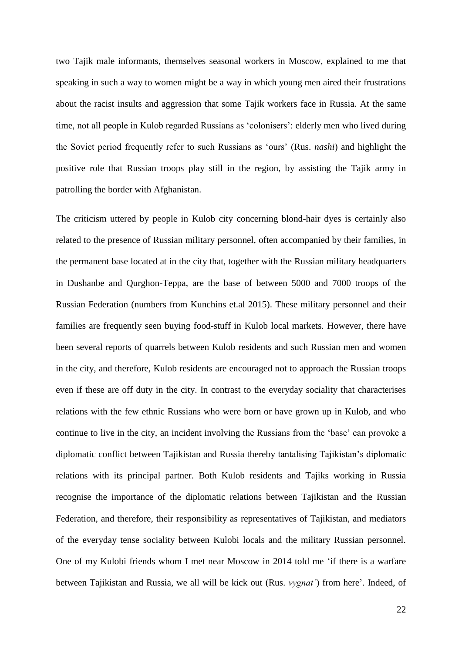two Tajik male informants, themselves seasonal workers in Moscow, explained to me that speaking in such a way to women might be a way in which young men aired their frustrations about the racist insults and aggression that some Tajik workers face in Russia. At the same time, not all people in Kulob regarded Russians as 'colonisers': elderly men who lived during the Soviet period frequently refer to such Russians as 'ours' (Rus. *nashi*) and highlight the positive role that Russian troops play still in the region, by assisting the Tajik army in patrolling the border with Afghanistan.

The criticism uttered by people in Kulob city concerning blond-hair dyes is certainly also related to the presence of Russian military personnel, often accompanied by their families, in the permanent base located at in the city that, together with the Russian military headquarters in Dushanbe and Qurghon-Teppa, are the base of between 5000 and 7000 troops of the Russian Federation (numbers from Kunchins et.al 2015). These military personnel and their families are frequently seen buying food-stuff in Kulob local markets. However, there have been several reports of quarrels between Kulob residents and such Russian men and women in the city, and therefore, Kulob residents are encouraged not to approach the Russian troops even if these are off duty in the city. In contrast to the everyday sociality that characterises relations with the few ethnic Russians who were born or have grown up in Kulob, and who continue to live in the city, an incident involving the Russians from the 'base' can provoke a diplomatic conflict between Tajikistan and Russia thereby tantalising Tajikistan's diplomatic relations with its principal partner. Both Kulob residents and Tajiks working in Russia recognise the importance of the diplomatic relations between Tajikistan and the Russian Federation, and therefore, their responsibility as representatives of Tajikistan, and mediators of the everyday tense sociality between Kulobi locals and the military Russian personnel. One of my Kulobi friends whom I met near Moscow in 2014 told me 'if there is a warfare between Tajikistan and Russia, we all will be kick out (Rus. *vygnat'*) from here'. Indeed, of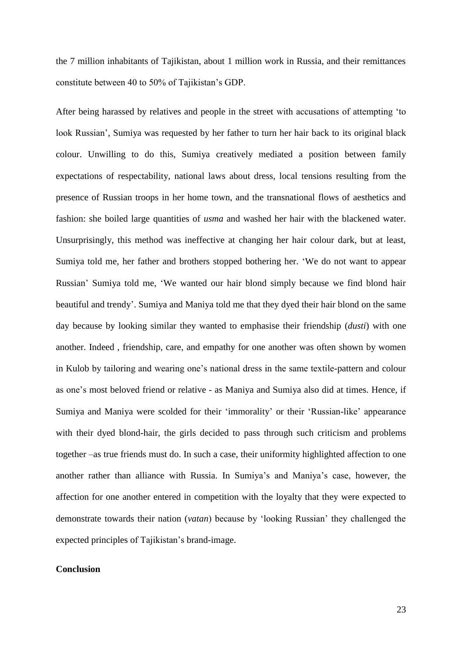the 7 million inhabitants of Tajikistan, about 1 million work in Russia, and their remittances constitute between 40 to 50% of Tajikistan's GDP.

After being harassed by relatives and people in the street with accusations of attempting 'to look Russian', Sumiya was requested by her father to turn her hair back to its original black colour. Unwilling to do this, Sumiya creatively mediated a position between family expectations of respectability, national laws about dress, local tensions resulting from the presence of Russian troops in her home town, and the transnational flows of aesthetics and fashion: she boiled large quantities of *usma* and washed her hair with the blackened water. Unsurprisingly, this method was ineffective at changing her hair colour dark, but at least, Sumiya told me, her father and brothers stopped bothering her. 'We do not want to appear Russian' Sumiya told me, 'We wanted our hair blond simply because we find blond hair beautiful and trendy'. Sumiya and Maniya told me that they dyed their hair blond on the same day because by looking similar they wanted to emphasise their friendship (*dusti*) with one another. Indeed , friendship, care, and empathy for one another was often shown by women in Kulob by tailoring and wearing one's national dress in the same textile-pattern and colour as one's most beloved friend or relative - as Maniya and Sumiya also did at times. Hence, if Sumiya and Maniya were scolded for their 'immorality' or their 'Russian-like' appearance with their dyed blond-hair, the girls decided to pass through such criticism and problems together –as true friends must do. In such a case, their uniformity highlighted affection to one another rather than alliance with Russia. In Sumiya's and Maniya's case, however, the affection for one another entered in competition with the loyalty that they were expected to demonstrate towards their nation (*vatan*) because by 'looking Russian' they challenged the expected principles of Tajikistan's brand-image.

# **Conclusion**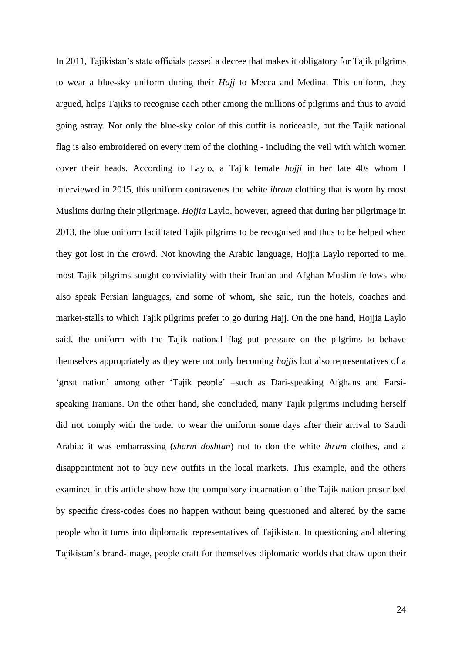In 2011, Tajikistan's state officials passed a decree that makes it obligatory for Tajik pilgrims to wear a blue-sky uniform during their *Hajj* to Mecca and Medina. This uniform, they argued, helps Tajiks to recognise each other among the millions of pilgrims and thus to avoid going astray. Not only the blue-sky color of this outfit is noticeable, but the Tajik national flag is also embroidered on every item of the clothing - including the veil with which women cover their heads. According to Laylo, a Tajik female *hojji* in her late 40s whom I interviewed in 2015, this uniform contravenes the white *ihram* clothing that is worn by most Muslims during their pilgrimage. *Hojjia* Laylo, however, agreed that during her pilgrimage in 2013, the blue uniform facilitated Tajik pilgrims to be recognised and thus to be helped when they got lost in the crowd. Not knowing the Arabic language, Hojjia Laylo reported to me, most Tajik pilgrims sought conviviality with their Iranian and Afghan Muslim fellows who also speak Persian languages, and some of whom, she said, run the hotels, coaches and market-stalls to which Tajik pilgrims prefer to go during Hajj. On the one hand, Hojjia Laylo said, the uniform with the Tajik national flag put pressure on the pilgrims to behave themselves appropriately as they were not only becoming *hojjis* but also representatives of a 'great nation' among other 'Tajik people' –such as Dari-speaking Afghans and Farsispeaking Iranians. On the other hand, she concluded, many Tajik pilgrims including herself did not comply with the order to wear the uniform some days after their arrival to Saudi Arabia: it was embarrassing (*sharm doshtan*) not to don the white *ihram* clothes, and a disappointment not to buy new outfits in the local markets. This example, and the others examined in this article show how the compulsory incarnation of the Tajik nation prescribed by specific dress-codes does no happen without being questioned and altered by the same people who it turns into diplomatic representatives of Tajikistan. In questioning and altering Tajikistan's brand-image, people craft for themselves diplomatic worlds that draw upon their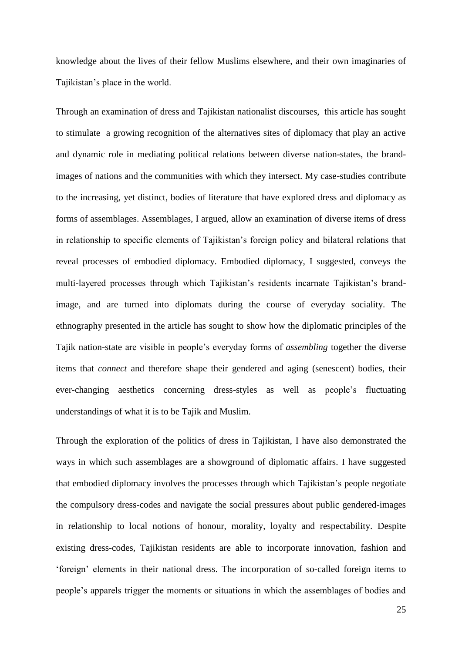knowledge about the lives of their fellow Muslims elsewhere, and their own imaginaries of Tajikistan's place in the world.

Through an examination of dress and Tajikistan nationalist discourses, this article has sought to stimulate a growing recognition of the alternatives sites of diplomacy that play an active and dynamic role in mediating political relations between diverse nation-states, the brandimages of nations and the communities with which they intersect. My case-studies contribute to the increasing, yet distinct, bodies of literature that have explored dress and diplomacy as forms of assemblages. Assemblages, I argued, allow an examination of diverse items of dress in relationship to specific elements of Tajikistan's foreign policy and bilateral relations that reveal processes of embodied diplomacy. Embodied diplomacy, I suggested, conveys the multi-layered processes through which Tajikistan's residents incarnate Tajikistan's brandimage, and are turned into diplomats during the course of everyday sociality. The ethnography presented in the article has sought to show how the diplomatic principles of the Tajik nation-state are visible in people's everyday forms of *assembling* together the diverse items that *connect* and therefore shape their gendered and aging (senescent) bodies, their ever-changing aesthetics concerning dress-styles as well as people's fluctuating understandings of what it is to be Tajik and Muslim.

Through the exploration of the politics of dress in Tajikistan, I have also demonstrated the ways in which such assemblages are a showground of diplomatic affairs. I have suggested that embodied diplomacy involves the processes through which Tajikistan's people negotiate the compulsory dress-codes and navigate the social pressures about public gendered-images in relationship to local notions of honour, morality, loyalty and respectability. Despite existing dress-codes, Tajikistan residents are able to incorporate innovation, fashion and 'foreign' elements in their national dress. The incorporation of so-called foreign items to people's apparels trigger the moments or situations in which the assemblages of bodies and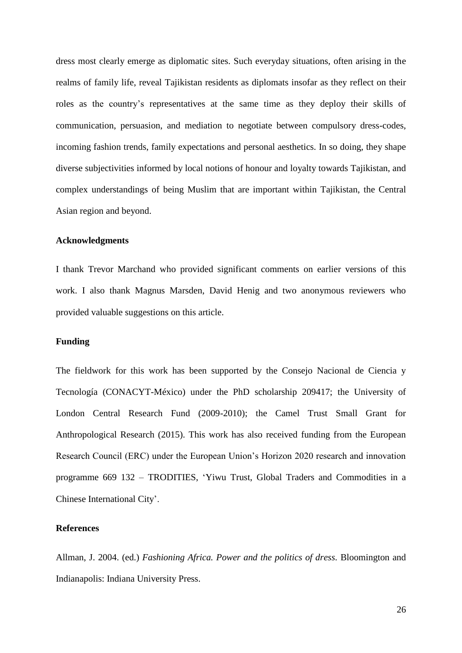dress most clearly emerge as diplomatic sites. Such everyday situations, often arising in the realms of family life, reveal Tajikistan residents as diplomats insofar as they reflect on their roles as the country's representatives at the same time as they deploy their skills of communication, persuasion, and mediation to negotiate between compulsory dress-codes, incoming fashion trends, family expectations and personal aesthetics. In so doing, they shape diverse subjectivities informed by local notions of honour and loyalty towards Tajikistan, and complex understandings of being Muslim that are important within Tajikistan, the Central Asian region and beyond.

# **Acknowledgments**

I thank Trevor Marchand who provided significant comments on earlier versions of this work. I also thank Magnus Marsden, David Henig and two anonymous reviewers who provided valuable suggestions on this article.

#### **Funding**

The fieldwork for this work has been supported by the Consejo Nacional de Ciencia y Tecnología (CONACYT-México) under the PhD scholarship 209417; the University of London Central Research Fund (2009-2010); the Camel Trust Small Grant for Anthropological Research (2015). This work has also received funding from the European Research Council (ERC) under the European Union's Horizon 2020 research and innovation programme 669 132 – TRODITIES, 'Yiwu Trust, Global Traders and Commodities in a Chinese International City'.

### **References**

Allman, J. 2004. (ed.) *Fashioning Africa. Power and the politics of dress.* Bloomington and Indianapolis: Indiana University Press.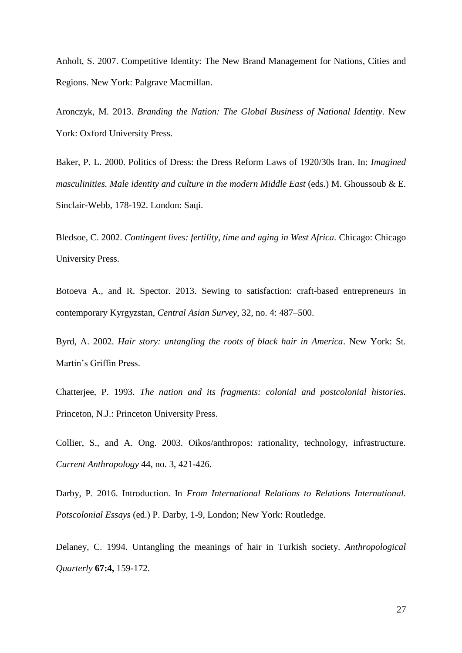Anholt, S. 2007. Competitive Identity: The New Brand Management for Nations, Cities and Regions. New York: Palgrave Macmillan.

Aronczyk, M. 2013. *Branding the Nation: The Global Business of National Identity.* New York: Oxford University Press.

Baker, P. L. 2000. Politics of Dress: the Dress Reform Laws of 1920/30s Iran. In: *Imagined masculinities. Male identity and culture in the modern Middle East* (eds.) M. Ghoussoub & E. Sinclair-Webb, 178-192. London: Saqi.

Bledsoe, C. 2002. *Contingent lives: fertility, time and aging in West Africa.* Chicago: Chicago University Press.

Botoeva A., and R. Spector. 2013. Sewing to satisfaction: craft-based entrepreneurs in contemporary Kyrgyzstan, *Central Asian Survey*, 32, no. 4: 487–500.

Byrd, A. 2002. *Hair story: untangling the roots of black hair in America*. New York: St. Martin's Griffin Press.

Chatterjee, P. 1993. *The nation and its fragments: colonial and postcolonial histories.* Princeton, N.J.: Princeton University Press.

Collier, S., and A. Ong. 2003. Oikos/anthropos: rationality, technology, infrastructure. *Current Anthropology* 44, no. 3, 421-426.

Darby, P. 2016. Introduction. In *From International Relations to Relations International. Potscolonial Essays* (ed.) P. Darby, 1-9, London; New York: Routledge.

Delaney, C. 1994. Untangling the meanings of hair in Turkish society. *Anthropological Quarterly* **67:4,** 159-172.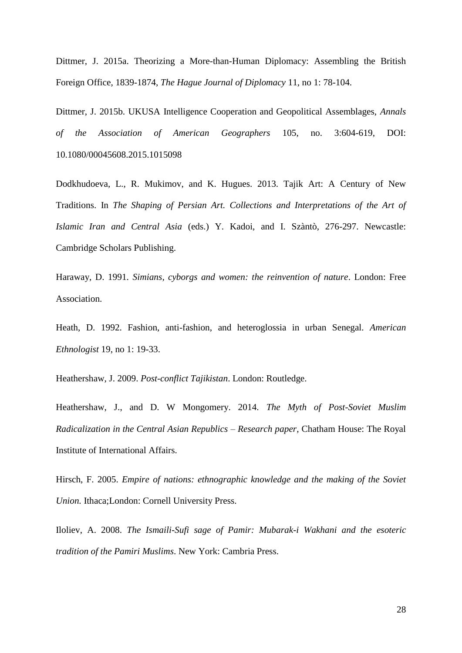Dittmer, J. 2015a. Theorizing a More-than-Human Diplomacy: Assembling the British Foreign Office, 1839-1874, *The Hague Journal of Diplomacy* 11, no 1: 78-104.

Dittmer, J. 2015b. UKUSA Intelligence Cooperation and Geopolitical Assemblages, *Annals of the Association of American Geographers* 105, no. 3:604-619, DOI: 10.1080/00045608.2015.1015098

Dodkhudoeva, L., R. Mukimov, and K. Hugues. 2013. Tajik Art: A Century of New Traditions. In *The Shaping of Persian Art. Collections and Interpretations of the Art of Islamic Iran and Central Asia* (eds.) Y. Kadoi, and I. Szàntò, 276-297. Newcastle: Cambridge Scholars Publishing.

Haraway, D. 1991. *Simians, cyborgs and women: the reinvention of nature*. London: Free Association.

Heath, D. 1992. Fashion, anti-fashion, and heteroglossia in urban Senegal. *American Ethnologist* 19, no 1: 19-33.

Heathershaw, J. 2009. *Post-conflict Tajikistan*. London: Routledge.

Heathershaw, J., and D. W Mongomery. 2014. *The Myth of Post-Soviet Muslim Radicalization in the Central Asian Republics – Research paper*, Chatham House: The Royal Institute of International Affairs.

Hirsch, F. 2005. *Empire of nations: ethnographic knowledge and the making of the Soviet Union.* Ithaca;London: Cornell University Press.

Iloliev, A. 2008. *The Ismaili-Sufi sage of Pamir: Mubarak-i Wakhani and the esoteric tradition of the Pamiri Muslims*. New York: Cambria Press.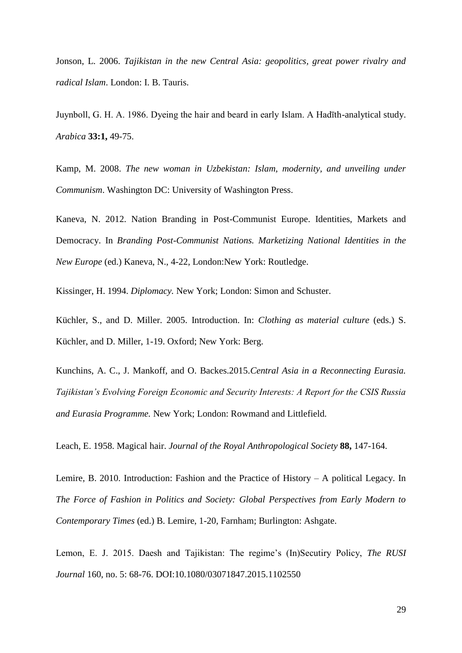Jonson, L. 2006. *Tajikistan in the new Central Asia: geopolitics, great power rivalry and radical Islam*. London: I. B. Tauris.

Juynboll, G. H. A. 1986. Dyeing the hair and beard in early Islam. A Hadīth-analytical study. *Arabica* **33:1,** 49-75.

Kamp, M. 2008. *The new woman in Uzbekistan: Islam, modernity, and unveiling under Communism*. Washington DC: University of Washington Press.

Kaneva, N. 2012. Nation Branding in Post-Communist Europe. Identities, Markets and Democracy. In *Branding Post-Communist Nations. Marketizing National Identities in the New Europe* (ed.) Kaneva, N., 4-22, London:New York: Routledge.

Kissinger, H. 1994. *Diplomacy.* New York; London: Simon and Schuster.

Küchler, S., and D. Miller. 2005. Introduction. In: *Clothing as material culture* (eds.) S. Küchler, and D. Miller, 1-19. Oxford; New York: Berg.

Kunchins, A. C., J. Mankoff, and O. Backes.2015.*Central Asia in a Reconnecting Eurasia. Tajikistan's Evolving Foreign Economic and Security Interests: A Report for the CSIS Russia and Eurasia Programme.* New York; London: Rowmand and Littlefield.

Leach, E. 1958. Magical hair. *Journal of the Royal Anthropological Society* **88,** 147-164.

Lemire, B. 2010. Introduction: Fashion and the Practice of History – A political Legacy. In *The Force of Fashion in Politics and Society: Global Perspectives from Early Modern to Contemporary Times* (ed.) B. Lemire, 1-20, Farnham; Burlington: Ashgate.

Lemon, E. J. 2015. Daesh and Tajikistan: The regime's (In)Secutiry Policy, *The RUSI Journal* 160, no. 5: 68-76. DOI:10.1080/03071847.2015.1102550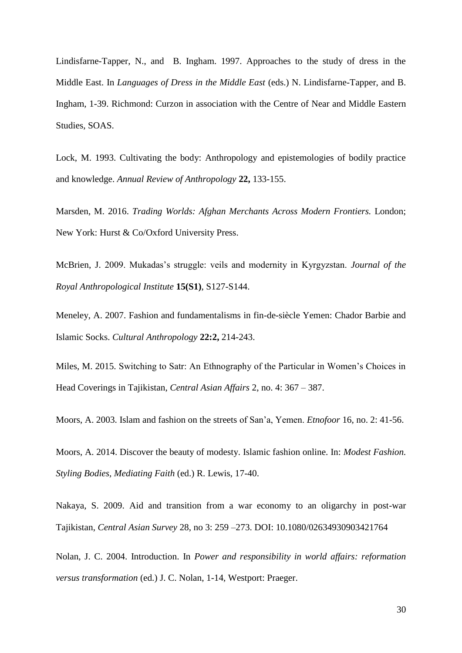Lindisfarne-Tapper, N., and B. Ingham. 1997. Approaches to the study of dress in the Middle East. In *Languages of Dress in the Middle East* (eds.) N. Lindisfarne-Tapper, and B. Ingham, 1-39. Richmond: Curzon in association with the Centre of Near and Middle Eastern Studies, SOAS.

Lock, M. 1993. Cultivating the body: Anthropology and epistemologies of bodily practice and knowledge. *Annual Review of Anthropology* **22,** 133-155.

Marsden, M. 2016. *Trading Worlds: Afghan Merchants Across Modern Frontiers.* London; New York: Hurst & Co/Oxford University Press.

McBrien, J. 2009. Mukadas's struggle: veils and modernity in Kyrgyzstan. *Journal of the Royal Anthropological Institute* **15(S1)**, S127-S144.

Meneley, A. 2007. Fashion and fundamentalisms in fin-de-siècle Yemen: Chador Barbie and Islamic Socks. *Cultural Anthropology* **22:2,** 214-243.

Miles, M. 2015. Switching to Satr: An Ethnography of the Particular in Women's Choices in Head Coverings in Tajikistan, *Central Asian Affairs* 2, no. 4: 367 – 387.

Moors, A. 2003. Islam and fashion on the streets of San'a, Yemen. *Etnofoor* 16, no. 2: 41-56.

Moors, A. 2014. Discover the beauty of modesty. Islamic fashion online. In: *Modest Fashion. Styling Bodies, Mediating Faith* (ed.) R. Lewis, 17-40.

Nakaya, S. 2009. Aid and transition from a war economy to an oligarchy in post-war Tajikistan, *Central Asian Survey* 28, no 3: 259 –273. DOI: 10.1080/02634930903421764

Nolan, J. C. 2004. Introduction. In *Power and responsibility in world affairs: reformation versus transformation* (ed.) J. C. Nolan, 1-14, Westport: Praeger.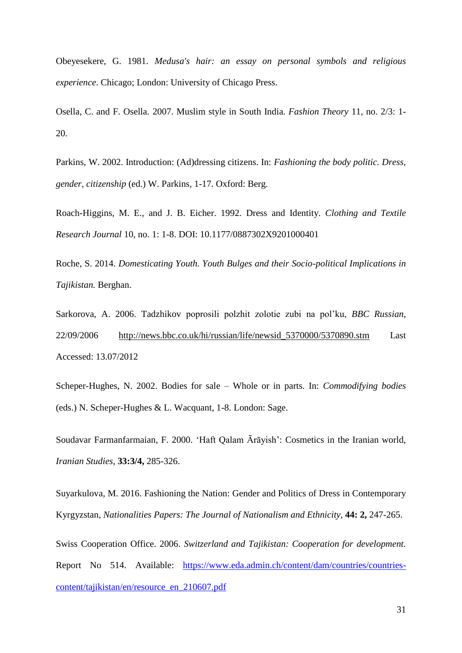Obeyesekere, G. 1981. *Medusa's hair: an essay on personal symbols and religious experience*. Chicago; London: University of Chicago Press.

Osella, C. and F. Osella. 2007. Muslim style in South India. *Fashion Theory* 11, no. 2/3: 1- 20.

Parkins, W. 2002. Introduction: (Ad)dressing citizens. In: *Fashioning the body politic. Dress, gender, citizenship* (ed.) W. Parkins*,* 1-17. Oxford: Berg.

Roach-Higgins, M. E., and J. B. Eicher. 1992. Dress and Identity. *Clothing and Textile Research Journal* 10, no. 1: 1-8. DOI: 10.1177/0887302X9201000401

Roche, S. 2014. *Domesticating Youth. Youth Bulges and their Socio-political Implications in Tajikistan.* Berghan.

Sarkorova, A. 2006. Tadzhikov poprosili polzhit zolotie zubi na pol'ku, *BBC Russian,*  22/09/2006 [http://news.bbc.co.uk/hi/russian/life/newsid\\_5370000/5370890.stm](http://news.bbc.co.uk/hi/russian/life/newsid_5370000/5370890.stm) Last Accessed: 13.07/2012

Scheper-Hughes, N. 2002. Bodies for sale – Whole or in parts. In: *Commodifying bodies*  (eds.) N. Scheper-Hughes & L. Wacquant, 1-8. London: Sage.

Soudavar Farmanfarmaian, F. 2000. 'Haft Qalam Ārāyish': Cosmetics in the Iranian world, *Iranian Studies,* **33:3/4,** 285-326.

Suyarkulova, M. 2016. Fashioning the Nation: Gender and Politics of Dress in Contemporary Kyrgyzstan, *Nationalities Papers: The Journal of Nationalism and Ethnicity,* **44: 2,** 247-265.

Swiss Cooperation Office. 2006. *Switzerland and Tajikistan: Cooperation for development.* Report No 514. Available: [https://www.eda.admin.ch/content/dam/countries/countries](https://www.eda.admin.ch/content/dam/countries/countries-content/tajikistan/en/resource_en_210607.pdf)[content/tajikistan/en/resource\\_en\\_210607.pdf](https://www.eda.admin.ch/content/dam/countries/countries-content/tajikistan/en/resource_en_210607.pdf)